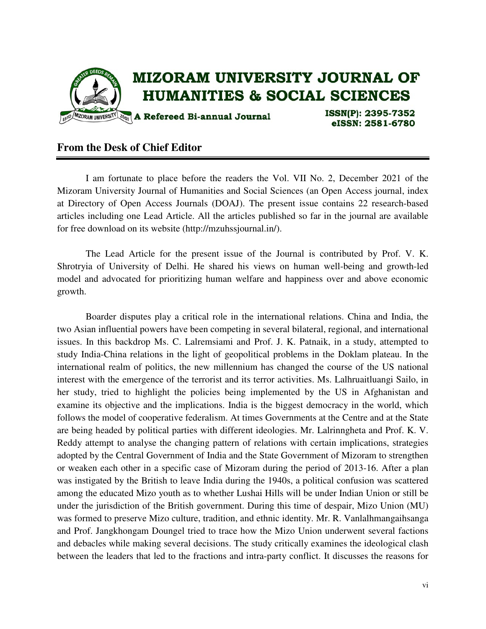

## **From the Desk of Chief Editor**

 I am fortunate to place before the readers the Vol. VII No. 2, December 2021 of the Mizoram University Journal of Humanities and Social Sciences (an Open Access journal, index at Directory of Open Access Journals (DOAJ). The present issue contains 22 research-based articles including one Lead Article. All the articles published so far in the journal are available for free download on its website (http://mzuhssjournal.in/).

 The Lead Article for the present issue of the Journal is contributed by Prof. V. K. Shrotryia of University of Delhi. He shared his views on human well-being and growth-led model and advocated for prioritizing human welfare and happiness over and above economic growth.

 Boarder disputes play a critical role in the international relations. China and India, the two Asian influential powers have been competing in several bilateral, regional, and international issues. In this backdrop Ms. C. Lalremsiami and Prof. J. K. Patnaik, in a study, attempted to study India-China relations in the light of geopolitical problems in the Doklam plateau. In the international realm of politics, the new millennium has changed the course of the US national interest with the emergence of the terrorist and its terror activities. Ms. Lalhruaitluangi Sailo, in her study, tried to highlight the policies being implemented by the US in Afghanistan and examine its objective and the implications. India is the biggest democracy in the world, which follows the model of cooperative federalism. At times Governments at the Centre and at the State are being headed by political parties with different ideologies. Mr. Lalrinngheta and Prof. K. V. Reddy attempt to analyse the changing pattern of relations with certain implications, strategies adopted by the Central Government of India and the State Government of Mizoram to strengthen or weaken each other in a specific case of Mizoram during the period of 2013-16. After a plan was instigated by the British to leave India during the 1940s, a political confusion was scattered among the educated Mizo youth as to whether Lushai Hills will be under Indian Union or still be under the jurisdiction of the British government. During this time of despair, Mizo Union (MU) was formed to preserve Mizo culture, tradition, and ethnic identity. Mr. R. Vanlalhmangaihsanga and Prof. Jangkhongam Doungel tried to trace how the Mizo Union underwent several factions and debacles while making several decisions. The study critically examines the ideological clash between the leaders that led to the fractions and intra-party conflict. It discusses the reasons for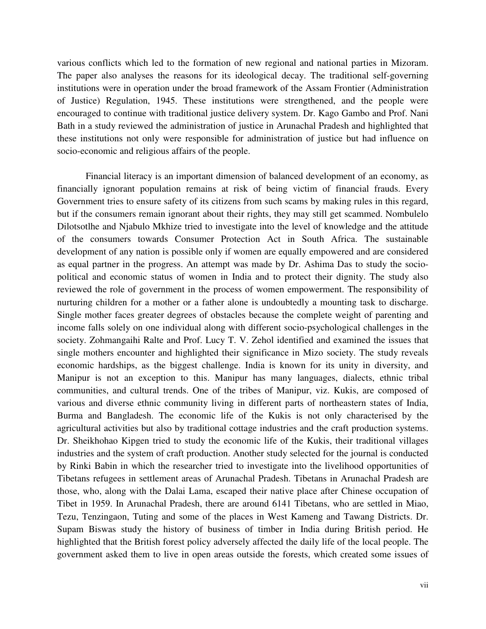various conflicts which led to the formation of new regional and national parties in Mizoram. The paper also analyses the reasons for its ideological decay. The traditional self-governing institutions were in operation under the broad framework of the Assam Frontier (Administration of Justice) Regulation, 1945. These institutions were strengthened, and the people were encouraged to continue with traditional justice delivery system. Dr. Kago Gambo and Prof. Nani Bath in a study reviewed the administration of justice in Arunachal Pradesh and highlighted that these institutions not only were responsible for administration of justice but had influence on socio-economic and religious affairs of the people.

 Financial literacy is an important dimension of balanced development of an economy, as financially ignorant population remains at risk of being victim of financial frauds. Every Government tries to ensure safety of its citizens from such scams by making rules in this regard, but if the consumers remain ignorant about their rights, they may still get scammed. Nombulelo Dilotsotlhe and Njabulo Mkhize tried to investigate into the level of knowledge and the attitude of the consumers towards Consumer Protection Act in South Africa. The sustainable development of any nation is possible only if women are equally empowered and are considered as equal partner in the progress. An attempt was made by Dr. Ashima Das to study the sociopolitical and economic status of women in India and to protect their dignity. The study also reviewed the role of government in the process of women empowerment. The responsibility of nurturing children for a mother or a father alone is undoubtedly a mounting task to discharge. Single mother faces greater degrees of obstacles because the complete weight of parenting and income falls solely on one individual along with different socio-psychological challenges in the society. Zohmangaihi Ralte and Prof. Lucy T. V. Zehol identified and examined the issues that single mothers encounter and highlighted their significance in Mizo society. The study reveals economic hardships, as the biggest challenge. India is known for its unity in diversity, and Manipur is not an exception to this. Manipur has many languages, dialects, ethnic tribal communities, and cultural trends. One of the tribes of Manipur, viz. Kukis, are composed of various and diverse ethnic community living in different parts of northeastern states of India, Burma and Bangladesh. The economic life of the Kukis is not only characterised by the agricultural activities but also by traditional cottage industries and the craft production systems. Dr. Sheikhohao Kipgen tried to study the economic life of the Kukis, their traditional villages industries and the system of craft production. Another study selected for the journal is conducted by Rinki Babin in which the researcher tried to investigate into the livelihood opportunities of Tibetans refugees in settlement areas of Arunachal Pradesh. Tibetans in Arunachal Pradesh are those, who, along with the Dalai Lama, escaped their native place after Chinese occupation of Tibet in 1959. In Arunachal Pradesh, there are around 6141 Tibetans, who are settled in Miao, Tezu, Tenzingaon, Tuting and some of the places in West Kameng and Tawang Districts. Dr. Supam Biswas study the history of business of timber in India during British period. He highlighted that the British forest policy adversely affected the daily life of the local people. The government asked them to live in open areas outside the forests, which created some issues of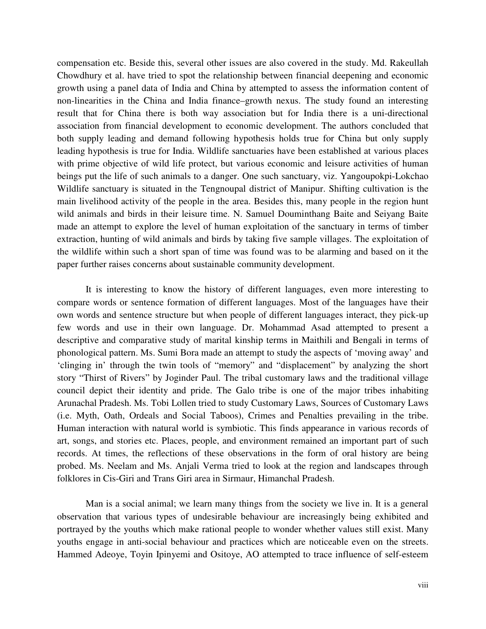compensation etc. Beside this, several other issues are also covered in the study. Md. Rakeullah Chowdhury et al. have tried to spot the relationship between financial deepening and economic growth using a panel data of India and China by attempted to assess the information content of non-linearities in the China and India finance–growth nexus. The study found an interesting result that for China there is both way association but for India there is a uni-directional association from financial development to economic development. The authors concluded that both supply leading and demand following hypothesis holds true for China but only supply leading hypothesis is true for India. Wildlife sanctuaries have been established at various places with prime objective of wild life protect, but various economic and leisure activities of human beings put the life of such animals to a danger. One such sanctuary, viz. Yangoupokpi-Lokchao Wildlife sanctuary is situated in the Tengnoupal district of Manipur. Shifting cultivation is the main livelihood activity of the people in the area. Besides this, many people in the region hunt wild animals and birds in their leisure time. N. Samuel Douminthang Baite and Seiyang Baite made an attempt to explore the level of human exploitation of the sanctuary in terms of timber extraction, hunting of wild animals and birds by taking five sample villages. The exploitation of the wildlife within such a short span of time was found was to be alarming and based on it the paper further raises concerns about sustainable community development.

 It is interesting to know the history of different languages, even more interesting to compare words or sentence formation of different languages. Most of the languages have their own words and sentence structure but when people of different languages interact, they pick-up few words and use in their own language. Dr. Mohammad Asad attempted to present a descriptive and comparative study of marital kinship terms in Maithili and Bengali in terms of phonological pattern. Ms. Sumi Bora made an attempt to study the aspects of 'moving away' and 'clinging in' through the twin tools of "memory" and "displacement" by analyzing the short story "Thirst of Rivers" by Joginder Paul. The tribal customary laws and the traditional village council depict their identity and pride. The Galo tribe is one of the major tribes inhabiting Arunachal Pradesh. Ms. Tobi Lollen tried to study Customary Laws, Sources of Customary Laws (i.e. Myth, Oath, Ordeals and Social Taboos), Crimes and Penalties prevailing in the tribe. Human interaction with natural world is symbiotic. This finds appearance in various records of art, songs, and stories etc. Places, people, and environment remained an important part of such records. At times, the reflections of these observations in the form of oral history are being probed. Ms. Neelam and Ms. Anjali Verma tried to look at the region and landscapes through folklores in Cis-Giri and Trans Giri area in Sirmaur, Himanchal Pradesh.

 Man is a social animal; we learn many things from the society we live in. It is a general observation that various types of undesirable behaviour are increasingly being exhibited and portrayed by the youths which make rational people to wonder whether values still exist. Many youths engage in anti-social behaviour and practices which are noticeable even on the streets. Hammed Adeoye, Toyin Ipinyemi and Ositoye, AO attempted to trace influence of self-esteem